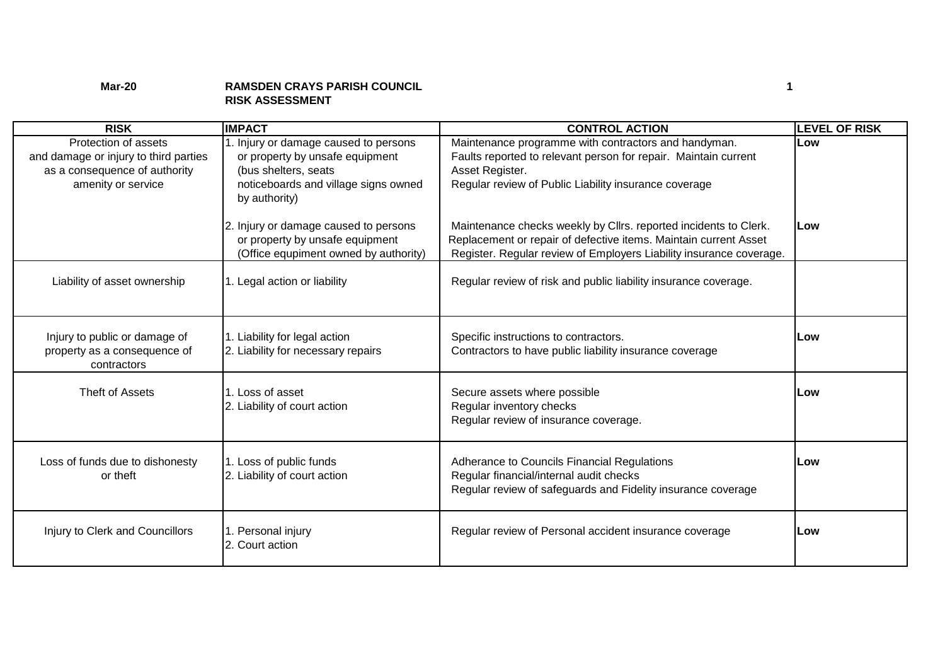## **Mar-20 RAMSDEN CRAYS PARISH COUNCIL 1 RISK ASSESSMENT**

| <b>RISK</b>                                                                                                          | <b>IMPACT</b>                                                                                                                                             | <b>CONTROL ACTION</b>                                                                                                                                                                                       | <b>LEVEL OF RISK</b> |
|----------------------------------------------------------------------------------------------------------------------|-----------------------------------------------------------------------------------------------------------------------------------------------------------|-------------------------------------------------------------------------------------------------------------------------------------------------------------------------------------------------------------|----------------------|
| Protection of assets<br>and damage or injury to third parties<br>as a consequence of authority<br>amenity or service | 1. Injury or damage caused to persons<br>or property by unsafe equipment<br>(bus shelters, seats<br>noticeboards and village signs owned<br>by authority) | Maintenance programme with contractors and handyman.<br>Faults reported to relevant person for repair. Maintain current<br>Asset Register.<br>Regular review of Public Liability insurance coverage         | Low                  |
|                                                                                                                      | 2. Injury or damage caused to persons<br>or property by unsafe equipment<br>(Office equpiment owned by authority)                                         | Maintenance checks weekly by Cllrs. reported incidents to Clerk.<br>Replacement or repair of defective items. Maintain current Asset<br>Register. Regular review of Employers Liability insurance coverage. | lLow                 |
| Liability of asset ownership                                                                                         | 1. Legal action or liability                                                                                                                              | Regular review of risk and public liability insurance coverage.                                                                                                                                             |                      |
| Injury to public or damage of<br>property as a consequence of<br>contractors                                         | 1. Liability for legal action<br>2. Liability for necessary repairs                                                                                       | Specific instructions to contractors.<br>Contractors to have public liability insurance coverage                                                                                                            | Low                  |
| Theft of Assets                                                                                                      | 1. Loss of asset<br>2. Liability of court action                                                                                                          | Secure assets where possible<br>Regular inventory checks<br>Regular review of insurance coverage.                                                                                                           | Low                  |
| Loss of funds due to dishonesty<br>or theft                                                                          | 1. Loss of public funds<br>2. Liability of court action                                                                                                   | Adherance to Councils Financial Regulations<br>Regular financial/internal audit checks<br>Regular review of safeguards and Fidelity insurance coverage                                                      | Low                  |
| Injury to Clerk and Councillors                                                                                      | 1. Personal injury<br>2. Court action                                                                                                                     | Regular review of Personal accident insurance coverage                                                                                                                                                      | Low                  |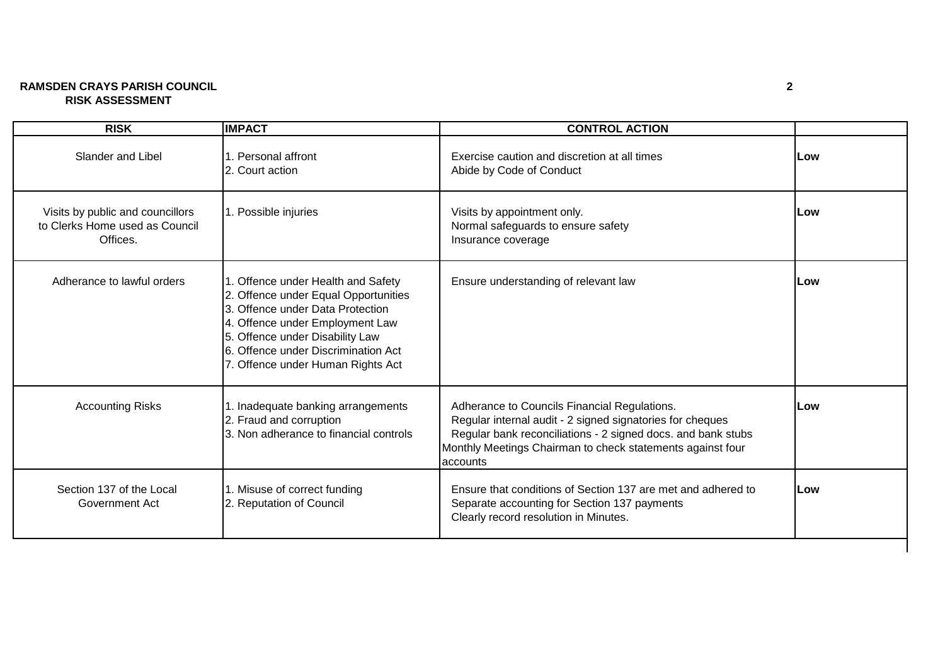## **RAMSDEN CRAYS PARISH COUNCIL 2 RISK ASSESSMENT**

| <b>RISK</b>                                                                    | <b>IMPACT</b>                                                                                                                                                                                                                                                    | <b>CONTROL ACTION</b>                                                                                                                                                                                                                               |     |
|--------------------------------------------------------------------------------|------------------------------------------------------------------------------------------------------------------------------------------------------------------------------------------------------------------------------------------------------------------|-----------------------------------------------------------------------------------------------------------------------------------------------------------------------------------------------------------------------------------------------------|-----|
| <b>Slander and Libel</b>                                                       | 1. Personal affront<br>2. Court action                                                                                                                                                                                                                           | Exercise caution and discretion at all times<br>Abide by Code of Conduct                                                                                                                                                                            | Low |
| Visits by public and councillors<br>to Clerks Home used as Council<br>Offices. | 1. Possible injuries                                                                                                                                                                                                                                             | Visits by appointment only.<br>Normal safeguards to ensure safety<br>Insurance coverage                                                                                                                                                             | Low |
| Adherance to lawful orders                                                     | 1. Offence under Health and Safety<br>2. Offence under Equal Opportunities<br>3. Offence under Data Protection<br>4. Offence under Employment Law<br>5. Offence under Disability Law<br>6. Offence under Discrimination Act<br>7. Offence under Human Rights Act | Ensure understanding of relevant law                                                                                                                                                                                                                | Low |
| <b>Accounting Risks</b>                                                        | 1. Inadequate banking arrangements<br>2. Fraud and corruption<br>3. Non adherance to financial controls                                                                                                                                                          | Adherance to Councils Financial Regulations.<br>Regular internal audit - 2 signed signatories for cheques<br>Regular bank reconciliations - 2 signed docs. and bank stubs<br>Monthly Meetings Chairman to check statements against four<br>accounts | Low |
| Section 137 of the Local<br>Government Act                                     | 1. Misuse of correct funding<br>2. Reputation of Council                                                                                                                                                                                                         | Ensure that conditions of Section 137 are met and adhered to<br>Separate accounting for Section 137 payments<br>Clearly record resolution in Minutes.                                                                                               | Low |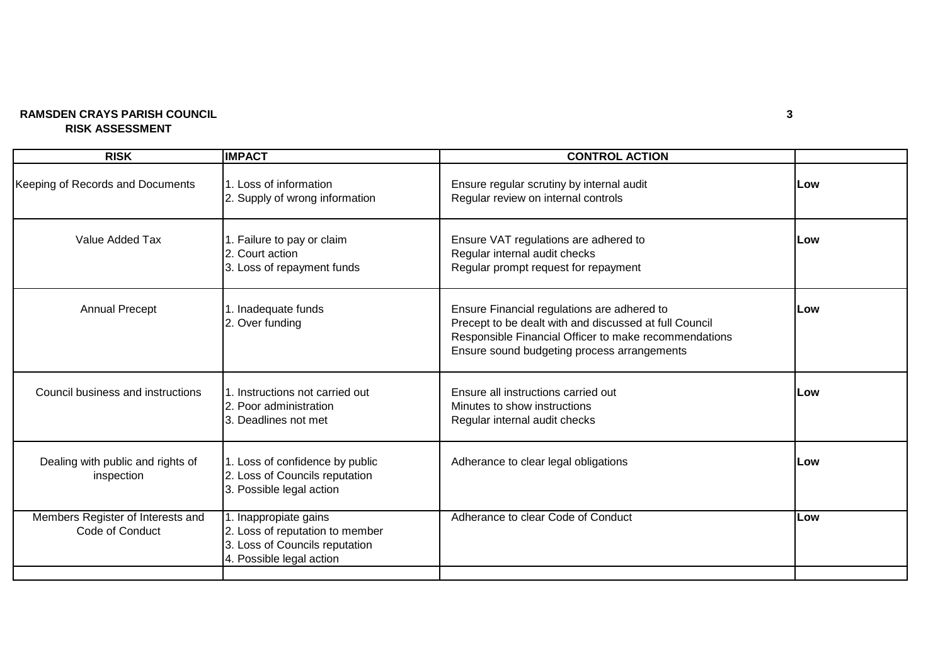## **RAMSDEN CRAYS PARISH COUNCIL 3 RISK ASSESSMENT**

| <b>IMPACT</b>                                                                                                          | <b>CONTROL ACTION</b>                                                                                                                                                                                         |     |
|------------------------------------------------------------------------------------------------------------------------|---------------------------------------------------------------------------------------------------------------------------------------------------------------------------------------------------------------|-----|
| 1. Loss of information<br>2. Supply of wrong information                                                               | Ensure regular scrutiny by internal audit<br>Regular review on internal controls                                                                                                                              | Low |
| 1. Failure to pay or claim<br>2. Court action<br>3. Loss of repayment funds                                            | Ensure VAT regulations are adhered to<br>Regular internal audit checks<br>Regular prompt request for repayment                                                                                                | Low |
| 1. Inadequate funds<br>2. Over funding                                                                                 | Ensure Financial regulations are adhered to<br>Precept to be dealt with and discussed at full Council<br>Responsible Financial Officer to make recommendations<br>Ensure sound budgeting process arrangements | Low |
| 1. Instructions not carried out<br>2. Poor administration<br>3. Deadlines not met                                      | Ensure all instructions carried out<br>Minutes to show instructions<br>Regular internal audit checks                                                                                                          | Low |
| 1. Loss of confidence by public<br>2. Loss of Councils reputation<br>3. Possible legal action                          | Adherance to clear legal obligations                                                                                                                                                                          | Low |
| 1. Inappropiate gains<br>2. Loss of reputation to member<br>3. Loss of Councils reputation<br>4. Possible legal action | Adherance to clear Code of Conduct                                                                                                                                                                            | Low |
|                                                                                                                        |                                                                                                                                                                                                               |     |